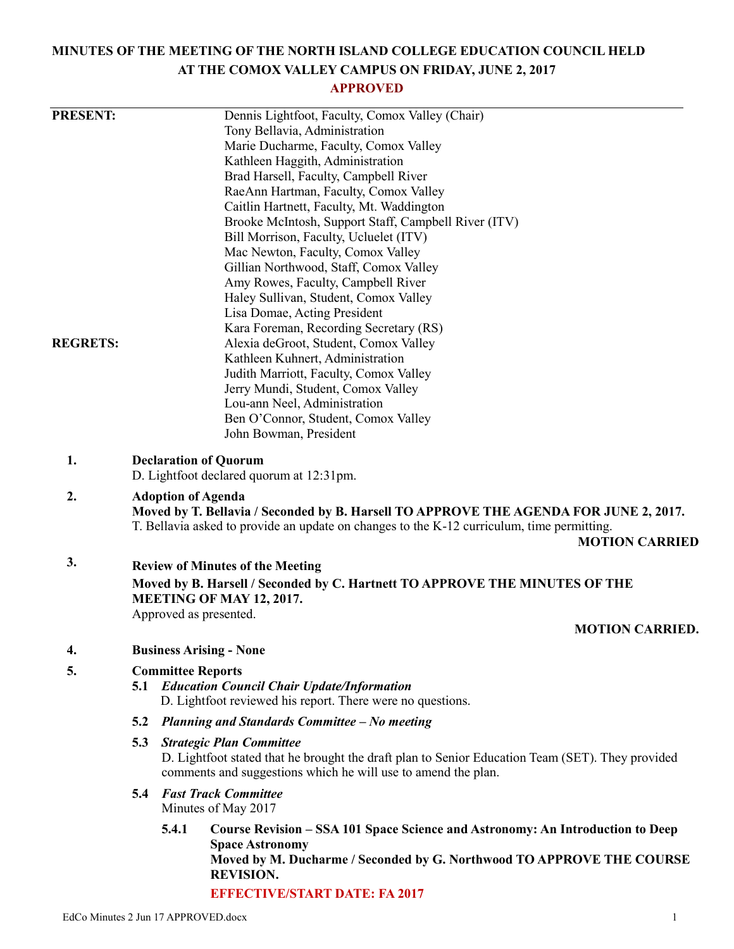# **MINUTES OF THE MEETING OF THE NORTH ISLAND COLLEGE EDUCATION COUNCIL HELD AT THE COMOX VALLEY CAMPUS ON FRIDAY, JUNE 2, 2017**

# **APPROVED**

| <b>PRESENT:</b> | Dennis Lightfoot, Faculty, Comox Valley (Chair)<br>Tony Bellavia, Administration                                                                                                                                                          |                                                                                                                                                                   |                                                                                                                                                                                                       |  |  |  |
|-----------------|-------------------------------------------------------------------------------------------------------------------------------------------------------------------------------------------------------------------------------------------|-------------------------------------------------------------------------------------------------------------------------------------------------------------------|-------------------------------------------------------------------------------------------------------------------------------------------------------------------------------------------------------|--|--|--|
|                 |                                                                                                                                                                                                                                           |                                                                                                                                                                   | Marie Ducharme, Faculty, Comox Valley<br>Kathleen Haggith, Administration                                                                                                                             |  |  |  |
|                 |                                                                                                                                                                                                                                           |                                                                                                                                                                   | Brad Harsell, Faculty, Campbell River                                                                                                                                                                 |  |  |  |
|                 |                                                                                                                                                                                                                                           | RaeAnn Hartman, Faculty, Comox Valley                                                                                                                             |                                                                                                                                                                                                       |  |  |  |
|                 | Caitlin Hartnett, Faculty, Mt. Waddington                                                                                                                                                                                                 |                                                                                                                                                                   |                                                                                                                                                                                                       |  |  |  |
|                 | Brooke McIntosh, Support Staff, Campbell River (ITV)                                                                                                                                                                                      |                                                                                                                                                                   |                                                                                                                                                                                                       |  |  |  |
|                 | Bill Morrison, Faculty, Ucluelet (ITV)<br>Mac Newton, Faculty, Comox Valley                                                                                                                                                               |                                                                                                                                                                   |                                                                                                                                                                                                       |  |  |  |
|                 |                                                                                                                                                                                                                                           |                                                                                                                                                                   |                                                                                                                                                                                                       |  |  |  |
|                 | Gillian Northwood, Staff, Comox Valley<br>Amy Rowes, Faculty, Campbell River<br>Haley Sullivan, Student, Comox Valley                                                                                                                     |                                                                                                                                                                   |                                                                                                                                                                                                       |  |  |  |
|                 |                                                                                                                                                                                                                                           |                                                                                                                                                                   |                                                                                                                                                                                                       |  |  |  |
|                 |                                                                                                                                                                                                                                           |                                                                                                                                                                   |                                                                                                                                                                                                       |  |  |  |
|                 | Lisa Domae, Acting President<br>Kara Foreman, Recording Secretary (RS)                                                                                                                                                                    |                                                                                                                                                                   |                                                                                                                                                                                                       |  |  |  |
| <b>REGRETS:</b> |                                                                                                                                                                                                                                           |                                                                                                                                                                   | Alexia deGroot, Student, Comox Valley                                                                                                                                                                 |  |  |  |
|                 |                                                                                                                                                                                                                                           | Kathleen Kuhnert, Administration                                                                                                                                  |                                                                                                                                                                                                       |  |  |  |
|                 |                                                                                                                                                                                                                                           |                                                                                                                                                                   | Judith Marriott, Faculty, Comox Valley                                                                                                                                                                |  |  |  |
|                 |                                                                                                                                                                                                                                           |                                                                                                                                                                   | Jerry Mundi, Student, Comox Valley                                                                                                                                                                    |  |  |  |
|                 |                                                                                                                                                                                                                                           |                                                                                                                                                                   | Lou-ann Neel, Administration                                                                                                                                                                          |  |  |  |
|                 |                                                                                                                                                                                                                                           |                                                                                                                                                                   | Ben O'Connor, Student, Comox Valley                                                                                                                                                                   |  |  |  |
|                 |                                                                                                                                                                                                                                           |                                                                                                                                                                   | John Bowman, President                                                                                                                                                                                |  |  |  |
| 1.              | <b>Declaration of Quorum</b><br>D. Lightfoot declared quorum at 12:31pm.                                                                                                                                                                  |                                                                                                                                                                   |                                                                                                                                                                                                       |  |  |  |
| 2.              | <b>Adoption of Agenda</b><br>Moved by T. Bellavia / Seconded by B. Harsell TO APPROVE THE AGENDA FOR JUNE 2, 2017.<br>T. Bellavia asked to provide an update on changes to the K-12 curriculum, time permitting.<br><b>MOTION CARRIED</b> |                                                                                                                                                                   |                                                                                                                                                                                                       |  |  |  |
| 3.              |                                                                                                                                                                                                                                           | <b>Review of Minutes of the Meeting</b>                                                                                                                           |                                                                                                                                                                                                       |  |  |  |
|                 |                                                                                                                                                                                                                                           | Moved by B. Harsell / Seconded by C. Hartnett TO APPROVE THE MINUTES OF THE                                                                                       |                                                                                                                                                                                                       |  |  |  |
|                 | MEETING OF MAY 12, 2017.                                                                                                                                                                                                                  |                                                                                                                                                                   |                                                                                                                                                                                                       |  |  |  |
|                 | Approved as presented.                                                                                                                                                                                                                    |                                                                                                                                                                   |                                                                                                                                                                                                       |  |  |  |
|                 |                                                                                                                                                                                                                                           |                                                                                                                                                                   | <b>MOTION CARRIED.</b>                                                                                                                                                                                |  |  |  |
| 4.              | <b>Business Arising - None</b>                                                                                                                                                                                                            |                                                                                                                                                                   |                                                                                                                                                                                                       |  |  |  |
| 5.              | <b>Committee Reports</b>                                                                                                                                                                                                                  |                                                                                                                                                                   |                                                                                                                                                                                                       |  |  |  |
|                 | 5.1                                                                                                                                                                                                                                       | <b>Education Council Chair Update/Information</b>                                                                                                                 |                                                                                                                                                                                                       |  |  |  |
|                 |                                                                                                                                                                                                                                           |                                                                                                                                                                   | D. Lightfoot reviewed his report. There were no questions.                                                                                                                                            |  |  |  |
|                 | 5.2                                                                                                                                                                                                                                       |                                                                                                                                                                   | Planning and Standards Committee - No meeting                                                                                                                                                         |  |  |  |
|                 | 5.3                                                                                                                                                                                                                                       |                                                                                                                                                                   | <b>Strategic Plan Committee</b>                                                                                                                                                                       |  |  |  |
|                 |                                                                                                                                                                                                                                           | D. Lightfoot stated that he brought the draft plan to Senior Education Team (SET). They provided<br>comments and suggestions which he will use to amend the plan. |                                                                                                                                                                                                       |  |  |  |
|                 | 5.4                                                                                                                                                                                                                                       |                                                                                                                                                                   | <b>Fast Track Committee</b><br>Minutes of May 2017                                                                                                                                                    |  |  |  |
|                 |                                                                                                                                                                                                                                           | 5.4.1                                                                                                                                                             | Course Revision – SSA 101 Space Science and Astronomy: An Introduction to Deep<br><b>Space Astronomy</b><br>Moved by M. Ducharme / Seconded by G. Northwood TO APPROVE THE COURSE<br><b>REVISION.</b> |  |  |  |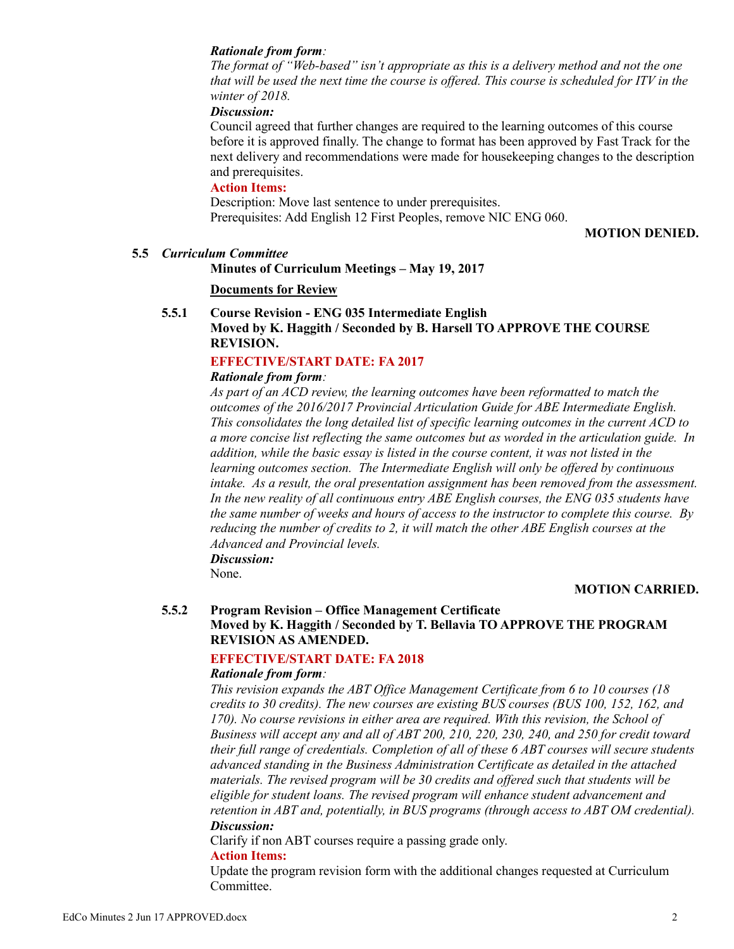#### *Rationale from form:*

*The format of "Web-based" isn't appropriate as this is a delivery method and not the one that will be used the next time the course is offered. This course is scheduled for ITV in the winter of 2018.*

### *Discussion:*

Council agreed that further changes are required to the learning outcomes of this course before it is approved finally. The change to format has been approved by Fast Track for the next delivery and recommendations were made for housekeeping changes to the description and prerequisites.

### **Action Items:**

Description: Move last sentence to under prerequisites. Prerequisites: Add English 12 First Peoples, remove NIC ENG 060.

**MOTION DENIED.**

#### **5.5** *Curriculum Committee*

#### **Minutes of Curriculum Meetings – May 19, 2017**

### **Documents for Review**

# **5.5.1 Course Revision - ENG 035 Intermediate English Moved by K. Haggith / Seconded by B. Harsell TO APPROVE THE COURSE REVISION.**

# **EFFECTIVE/START DATE: FA 2017**

# *Rationale from form:*

*As part of an ACD review, the learning outcomes have been reformatted to match the outcomes of the 2016/2017 Provincial Articulation Guide for ABE Intermediate English. This consolidates the long detailed list of specific learning outcomes in the current ACD to a more concise list reflecting the same outcomes but as worded in the articulation guide. In addition, while the basic essay is listed in the course content, it was not listed in the learning outcomes section. The Intermediate English will only be offered by continuous intake. As a result, the oral presentation assignment has been removed from the assessment. In the new reality of all continuous entry ABE English courses, the ENG 035 students have the same number of weeks and hours of access to the instructor to complete this course. By reducing the number of credits to 2, it will match the other ABE English courses at the Advanced and Provincial levels. Discussion:*

None.

#### **MOTION CARRIED.**

# **5.5.2 Program Revision – Office Management Certificate Moved by K. Haggith / Seconded by T. Bellavia TO APPROVE THE PROGRAM REVISION AS AMENDED.**

#### **EFFECTIVE/START DATE: FA 2018**

#### *Rationale from form:*

*This revision expands the ABT Office Management Certificate from 6 to 10 courses (18 credits to 30 credits). The new courses are existing BUS courses (BUS 100, 152, 162, and 170). No course revisions in either area are required. With this revision, the School of Business will accept any and all of ABT 200, 210, 220, 230, 240, and 250 for credit toward their full range of credentials. Completion of all of these 6 ABT courses will secure students advanced standing in the Business Administration Certificate as detailed in the attached materials. The revised program will be 30 credits and offered such that students will be eligible for student loans. The revised program will enhance student advancement and retention in ABT and, potentially, in BUS programs (through access to ABT OM credential). Discussion:*

Clarify if non ABT courses require a passing grade only.

#### **Action Items:**

Update the program revision form with the additional changes requested at Curriculum Committee.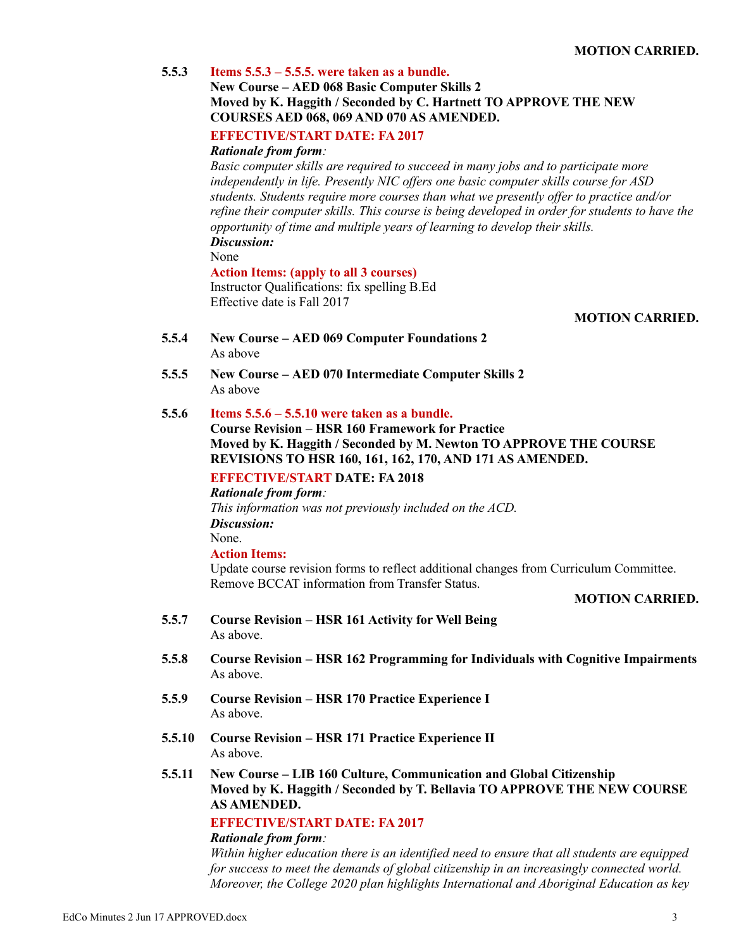|        | MUTIUN CARRIED.                                                                                                                                                                                                                                                                                                                                                                                                                                                               |
|--------|-------------------------------------------------------------------------------------------------------------------------------------------------------------------------------------------------------------------------------------------------------------------------------------------------------------------------------------------------------------------------------------------------------------------------------------------------------------------------------|
| 5.5.3  | Items $5.5.3 - 5.5.5$ , were taken as a bundle.<br><b>New Course – AED 068 Basic Computer Skills 2</b>                                                                                                                                                                                                                                                                                                                                                                        |
|        | Moved by K. Haggith / Seconded by C. Hartnett TO APPROVE THE NEW<br>COURSES AED 068, 069 AND 070 AS AMENDED.                                                                                                                                                                                                                                                                                                                                                                  |
|        | <b>EFFECTIVE/START DATE: FA 2017</b><br><b>Rationale from form:</b>                                                                                                                                                                                                                                                                                                                                                                                                           |
|        | Basic computer skills are required to succeed in many jobs and to participate more<br>independently in life. Presently NIC offers one basic computer skills course for ASD<br>students. Students require more courses than what we presently offer to practice and/or<br>refine their computer skills. This course is being developed in order for students to have the<br>opportunity of time and multiple years of learning to develop their skills.<br>Discussion:<br>None |
|        | <b>Action Items: (apply to all 3 courses)</b><br>Instructor Qualifications: fix spelling B.Ed<br>Effective date is Fall 2017                                                                                                                                                                                                                                                                                                                                                  |
|        | <b>MOTION CARRIED.</b>                                                                                                                                                                                                                                                                                                                                                                                                                                                        |
| 5.5.4  | <b>New Course – AED 069 Computer Foundations 2</b>                                                                                                                                                                                                                                                                                                                                                                                                                            |
|        | As above                                                                                                                                                                                                                                                                                                                                                                                                                                                                      |
| 5.5.5  | New Course – AED 070 Intermediate Computer Skills 2<br>As above                                                                                                                                                                                                                                                                                                                                                                                                               |
| 5.5.6  | Items $5.5.6 - 5.5.10$ were taken as a bundle.<br><b>Course Revision - HSR 160 Framework for Practice</b><br>Moved by K. Haggith / Seconded by M. Newton TO APPROVE THE COURSE<br>REVISIONS TO HSR 160, 161, 162, 170, AND 171 AS AMENDED.                                                                                                                                                                                                                                    |
|        | <b>EFFECTIVE/START DATE: FA 2018</b><br><b>Rationale from form:</b><br>This information was not previously included on the ACD.<br>Discussion:                                                                                                                                                                                                                                                                                                                                |
|        | None.                                                                                                                                                                                                                                                                                                                                                                                                                                                                         |
|        | <b>Action Items:</b><br>Update course revision forms to reflect additional changes from Curriculum Committee.<br>Remove BCCAT information from Transfer Status.                                                                                                                                                                                                                                                                                                               |
|        | <b>MOTION CARRIED.</b>                                                                                                                                                                                                                                                                                                                                                                                                                                                        |
| 5.5.7  | <b>Course Revision - HSR 161 Activity for Well Being</b><br>As above.                                                                                                                                                                                                                                                                                                                                                                                                         |
| 5.5.8  | <b>Course Revision – HSR 162 Programming for Individuals with Cognitive Impairments</b><br>As above.                                                                                                                                                                                                                                                                                                                                                                          |
| 5.5.9  | <b>Course Revision – HSR 170 Practice Experience I</b><br>As above.                                                                                                                                                                                                                                                                                                                                                                                                           |
| 5.5.10 | <b>Course Revision – HSR 171 Practice Experience II</b><br>As above.                                                                                                                                                                                                                                                                                                                                                                                                          |
| 5.5.11 | New Course – LIB 160 Culture, Communication and Global Citizenship<br>Moved by K. Haggith / Seconded by T. Bellavia TO APPROVE THE NEW COURSE<br><b>AS AMENDED.</b>                                                                                                                                                                                                                                                                                                           |
|        | <b>EFFECTIVE/START DATE: FA 2017</b>                                                                                                                                                                                                                                                                                                                                                                                                                                          |
|        | <b>Rationale from form:</b><br>Within higher education there is an identified need to ensure that all students are equipped<br>for success to meet the demands of global citizenship in an increasingly connected world.<br>Moreover, the College 2020 plan highlights International and Aboriginal Education as key                                                                                                                                                          |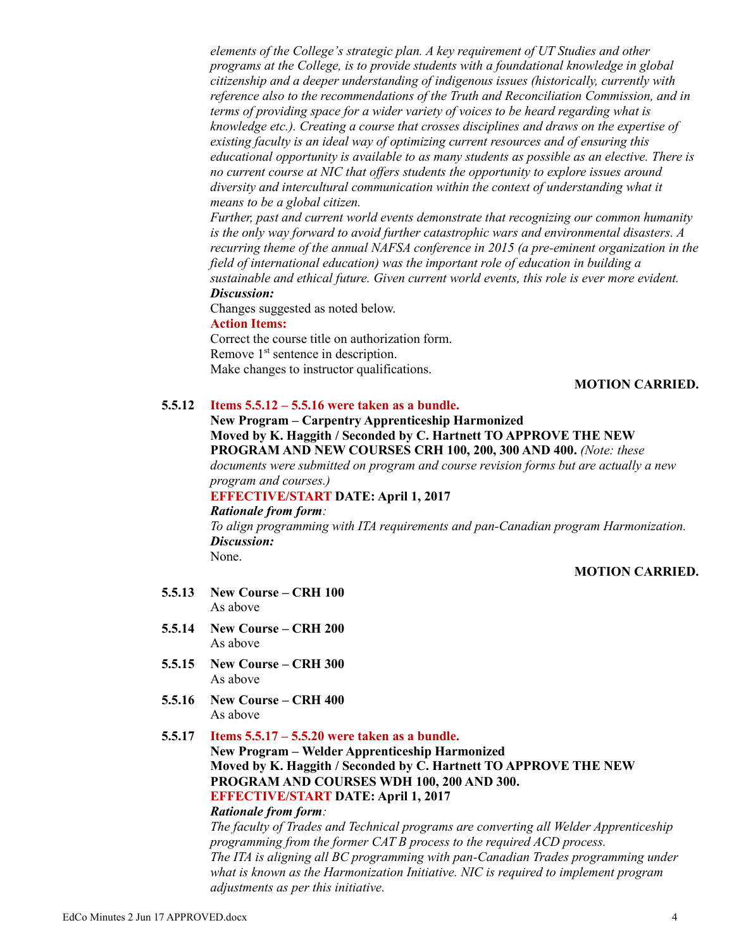*elements of the College's strategic plan. A key requirement of UT Studies and other programs at the College, is to provide students with a foundational knowledge in global citizenship and a deeper understanding of indigenous issues (historically, currently with reference also to the recommendations of the Truth and Reconciliation Commission, and in terms of providing space for a wider variety of voices to be heard regarding what is knowledge etc.). Creating a course that crosses disciplines and draws on the expertise of existing faculty is an ideal way of optimizing current resources and of ensuring this educational opportunity is available to as many students as possible as an elective. There is no current course at NIC that offers students the opportunity to explore issues around diversity and intercultural communication within the context of understanding what it means to be a global citizen.*

*Further, past and current world events demonstrate that recognizing our common humanity is the only way forward to avoid further catastrophic wars and environmental disasters. A recurring theme of the annual NAFSA conference in 2015 (a pre-eminent organization in the field of international education) was the important role of education in building a sustainable and ethical future. Given current world events, this role is ever more evident. Discussion:*

Changes suggested as noted below.

#### **Action Items:**

Correct the course title on authorization form. Remove 1<sup>st</sup> sentence in description. Make changes to instructor qualifications.

# **MOTION CARRIED.**

### **5.5.12 Items 5.5.12 – 5.5.16 were taken as a bundle.**

**New Program – Carpentry Apprenticeship Harmonized Moved by K. Haggith / Seconded by C. Hartnett TO APPROVE THE NEW PROGRAM AND NEW COURSES CRH 100, 200, 300 AND 400.** *(Note: these documents were submitted on program and course revision forms but are actually a new program and courses.)*

# **EFFECTIVE/START DATE: April 1, 2017**

*Rationale from form: To align programming with ITA requirements and pan-Canadian program Harmonization. Discussion:* None.

# **MOTION CARRIED.**

- **5.5.13 New Course – CRH 100**  As above
- **5.5.14 New Course – CRH 200**  As above
- **5.5.15 New Course – CRH 300**  As above
- **5.5.16 New Course – CRH 400**  As above
- **5.5.17 Items 5.5.17 – 5.5.20 were taken as a bundle.**

# **New Program – Welder Apprenticeship Harmonized Moved by K. Haggith / Seconded by C. Hartnett TO APPROVE THE NEW PROGRAM AND COURSES WDH 100, 200 AND 300. EFFECTIVE/START DATE: April 1, 2017**

# *Rationale from form:*

*The faculty of Trades and Technical programs are converting all Welder Apprenticeship programming from the former CAT B process to the required ACD process. The ITA is aligning all BC programming with pan-Canadian Trades programming under what is known as the Harmonization Initiative. NIC is required to implement program adjustments as per this initiative.*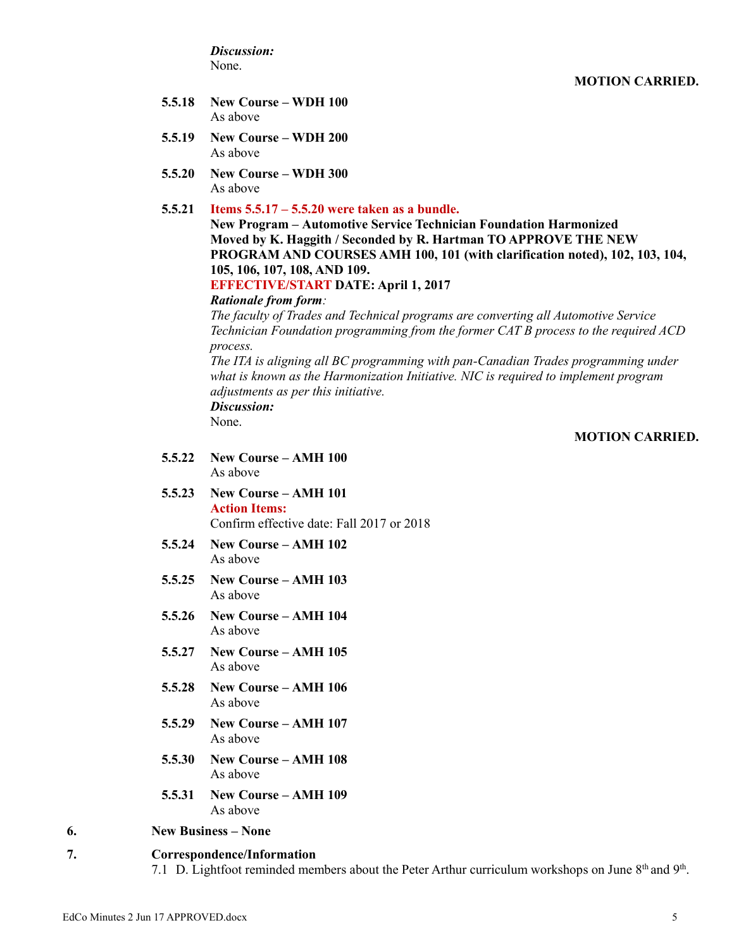*Discussion:* None.

- **5.5.18 New Course – WDH 100** As above
- **5.5.19 New Course – WDH 200** As above
- **5.5.20 New Course – WDH 300** As above
- **5.5.21 Items 5.5.17 – 5.5.20 were taken as a bundle.**

**New Program – Automotive Service Technician Foundation Harmonized Moved by K. Haggith / Seconded by R. Hartman TO APPROVE THE NEW PROGRAM AND COURSES AMH 100, 101 (with clarification noted), 102, 103, 104, 105, 106, 107, 108, AND 109.**

# **EFFECTIVE/START DATE: April 1, 2017**

#### *Rationale from form:*

*The faculty of Trades and Technical programs are converting all Automotive Service Technician Foundation programming from the former CAT B process to the required ACD process.*

*The ITA is aligning all BC programming with pan-Canadian Trades programming under what is known as the Harmonization Initiative. NIC is required to implement program adjustments as per this initiative. Discussion:*

None.

# **MOTION CARRIED.**

- **5.5.22 New Course – AMH 100** As above
- **5.5.23 New Course – AMH 101 Action Items:** Confirm effective date: Fall 2017 or 2018
- **5.5.24 New Course – AMH 102** As above
- **5.5.25 New Course – AMH 103** As above
- **5.5.26 New Course – AMH 104** As above
- **5.5.27 New Course – AMH 105** As above
- **5.5.28 New Course – AMH 106** As above
- **5.5.29 New Course – AMH 107** As above
- **5.5.30 New Course – AMH 108** As above
- **5.5.31 New Course – AMH 109** As above

#### **6. New Business – None**

#### **7. Correspondence/Information**

7.1 D. Lightfoot reminded members about the Peter Arthur curriculum workshops on June  $8<sup>th</sup>$  and  $9<sup>th</sup>$ .